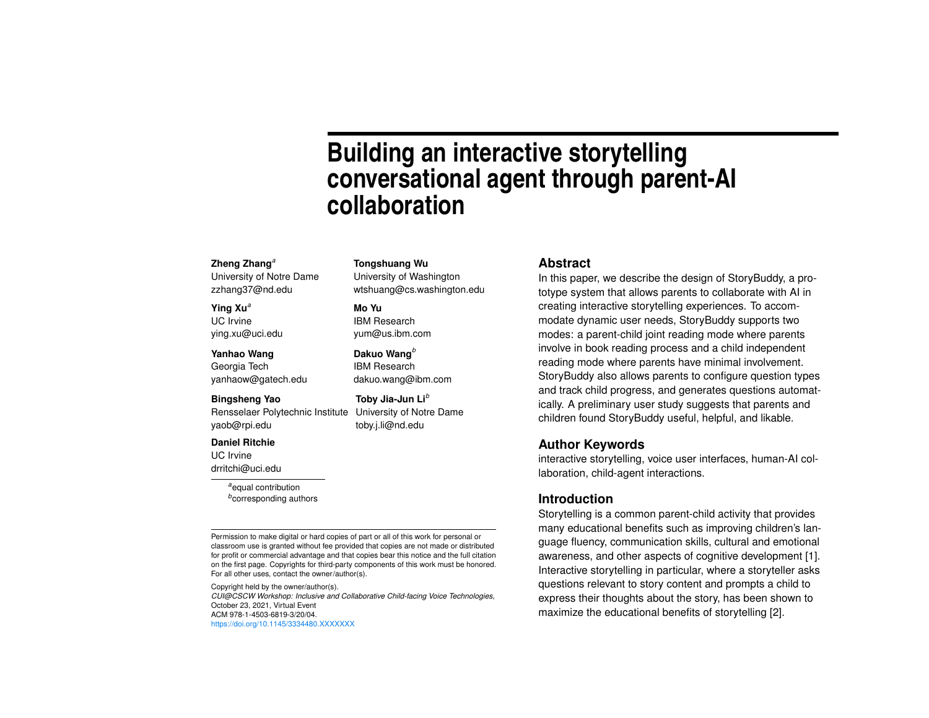# **Building an interactive storytelling conversational agent through parent-AI collaboration**

#### **Zheng Zhang***[a](#page-0-0)*

University of Notre Dame zzhang37@nd.edu

#### **Ying Xu***<sup>a</sup>*

UC Irvine ying.xu@uci.edu

#### **Yanhao Wang**

Georgia Tech yanhaow@gatech.edu

#### **Bingsheng Yao**

Rensselaer Polytechnic Institute yaob@rpi.edu

#### **Daniel Ritchie**

UC Irvine drritchi@uci.edu

> <span id="page-0-1"></span><span id="page-0-0"></span>*<sup>a</sup>*equal contribution *b* corresponding authors

Permission to make digital or hard copies of part or all of this work for personal or classroom use is granted without fee provided that copies are not made or distributed for profit or commercial advantage and that copies bear this notice and the full citation on the first page. Copyrights for third-party components of this work must be honored. For all other uses, contact the owner/author(s).

**Tongshuang Wu** University of Washington wtshuang@cs.washington.edu

**Dakuo Wang***[b](#page-0-1)* IBM Research dakuo.wang@ibm.com

**Toby Jia-Jun Li***<sup>b</sup>* University of Notre Dame toby.j.li@nd.edu

**Mo Yu** IBM Research yum@us.ibm.com

Copyright held by the owner/author(s). *CUI@CSCW Workshop: Inclusive and Collaborative Child-facing Voice Technologies*, October 23, 2021, Virtual Event ACM 978-1-4503-6819-3/20/04. <https://doi.org/10.1145/3334480.XXXXXXX>

### **Abstract**

In this paper, we describe the design of StoryBuddy, a prototype system that allows parents to collaborate with AI in creating interactive storytelling experiences. To accommodate dynamic user needs, StoryBuddy supports two modes: a parent-child joint reading mode where parents involve in book reading process and a child independent reading mode where parents have minimal involvement. StoryBuddy also allows parents to configure question types and track child progress, and generates questions automatically. A preliminary user study suggests that parents and children found StoryBuddy useful, helpful, and likable.

## **Author Keywords**

interactive storytelling, voice user interfaces, human-AI collaboration, child-agent interactions.

## **Introduction**

Storytelling is a common parent-child activity that provides many educational benefits such as improving children's language fluency, communication skills, cultural and emotional awareness, and other aspects of cognitive development [\[1\]](#page-5-0). Interactive storytelling in particular, where a storyteller asks questions relevant to story content and prompts a child to express their thoughts about the story, has been shown to maximize the educational benefits of storytelling [\[2\]](#page-5-1).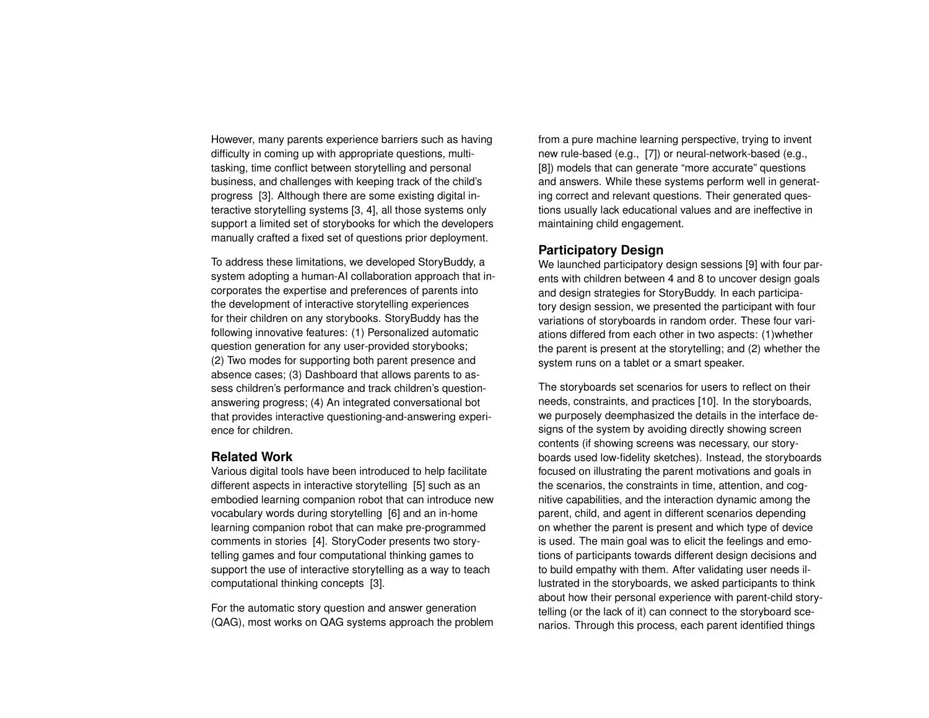However, many parents experience barriers such as having difficulty in coming up with appropriate questions, multitasking, time conflict between storytelling and personal business, and challenges with keeping track of the child's progress [\[3\]](#page-5-2). Although there are some existing digital interactive storytelling systems [\[3,](#page-5-2) [4\]](#page-5-3), all those systems only support a limited set of storybooks for which the developers manually crafted a fixed set of questions prior deployment.

To address these limitations, we developed StoryBuddy, a system adopting a human-AI collaboration approach that incorporates the expertise and preferences of parents into the development of interactive storytelling experiences for their children on any storybooks. StoryBuddy has the following innovative features: (1) Personalized automatic question generation for any user-provided storybooks; (2) Two modes for supporting both parent presence and absence cases; (3) Dashboard that allows parents to assess children's performance and track children's questionanswering progress; (4) An integrated conversational bot that provides interactive questioning-and-answering experience for children.

## **Related Work**

Various digital tools have been introduced to help facilitate different aspects in interactive storytelling [\[5\]](#page-5-4) such as an embodied learning companion robot that can introduce new vocabulary words during storytelling [\[6\]](#page-5-5) and an in-home learning companion robot that can make pre-programmed comments in stories [\[4\]](#page-5-3). StoryCoder presents two storytelling games and four computational thinking games to support the use of interactive storytelling as a way to teach computational thinking concepts [\[3\]](#page-5-2).

For the automatic story question and answer generation (QAG), most works on QAG systems approach the problem from a pure machine learning perspective, trying to invent new rule-based (e.g., [\[7\]](#page-5-6)) or neural-network-based (e.g., [\[8\]](#page-5-7)) models that can generate "more accurate" questions and answers. While these systems perform well in generating correct and relevant questions. Their generated questions usually lack educational values and are ineffective in maintaining child engagement.

# **Participatory Design**

We launched participatory design sessions [\[9\]](#page-5-8) with four parents with children between 4 and 8 to uncover design goals and design strategies for StoryBuddy. In each participatory design session, we presented the participant with four variations of storyboards in random order. These four variations differed from each other in two aspects: (1)whether the parent is present at the storytelling; and (2) whether the system runs on a tablet or a smart speaker.

The storyboards set scenarios for users to reflect on their needs, constraints, and practices [\[10\]](#page-5-9). In the storyboards, we purposely deemphasized the details in the interface designs of the system by avoiding directly showing screen contents (if showing screens was necessary, our storyboards used low-fidelity sketches). Instead, the storyboards focused on illustrating the parent motivations and goals in the scenarios, the constraints in time, attention, and cognitive capabilities, and the interaction dynamic among the parent, child, and agent in different scenarios depending on whether the parent is present and which type of device is used. The main goal was to elicit the feelings and emotions of participants towards different design decisions and to build empathy with them. After validating user needs illustrated in the storyboards, we asked participants to think about how their personal experience with parent-child storytelling (or the lack of it) can connect to the storyboard scenarios. Through this process, each parent identified things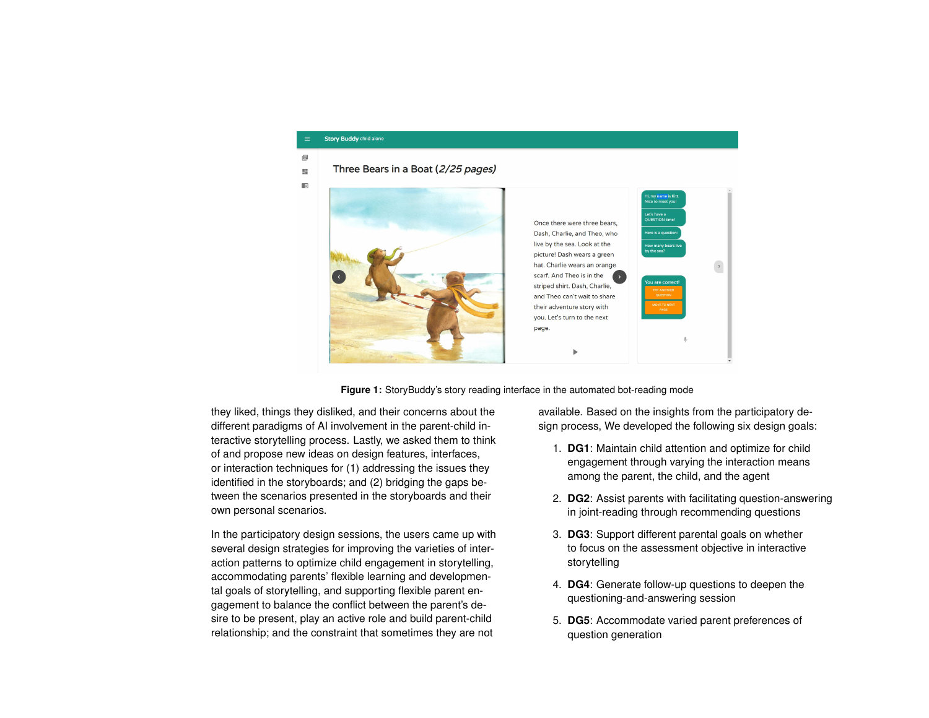#### **Story Buddy** child alone

<span id="page-2-0"></span>目

Three Bears in a Boat (2/25 pages)  $\mathbb{R}^2$ 



**Figure 1:** StoryBuddy's story reading interface in the automated bot-reading mode

they liked, things they disliked, and their concerns about the different paradigms of AI involvement in the parent-child interactive storytelling process. Lastly, we asked them to think of and propose new ideas on design features, interfaces, or interaction techniques for (1) addressing the issues they identified in the storyboards; and (2) bridging the gaps between the scenarios presented in the storyboards and their own personal scenarios.

In the participatory design sessions, the users came up with several design strategies for improving the varieties of interaction patterns to optimize child engagement in storytelling, accommodating parents' flexible learning and developmental goals of storytelling, and supporting flexible parent engagement to balance the conflict between the parent's desire to be present, play an active role and build parent-child relationship; and the constraint that sometimes they are not

available. Based on the insights from the participatory design process, We developed the following six design goals:

- 1. **DG1**: Maintain child attention and optimize for child engagement through varying the interaction means among the parent, the child, and the agent
- 2. **DG2**: Assist parents with facilitating question-answering in joint-reading through recommending questions
- 3. **DG3**: Support different parental goals on whether to focus on the assessment objective in interactive storytelling
- 4. **DG4**: Generate follow-up questions to deepen the questioning-and-answering session
- 5. **DG5**: Accommodate varied parent preferences of question generation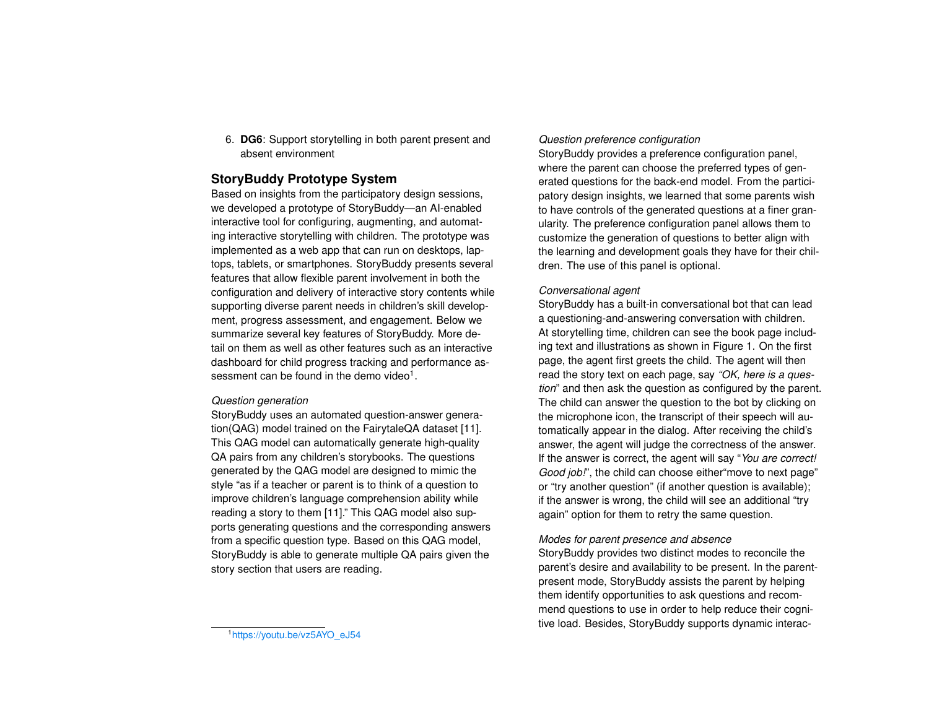6. **DG6**: Support storytelling in both parent present and absent environment

# **StoryBuddy Prototype System**

Based on insights from the participatory design sessions, we developed a prototype of StoryBuddy—an AI-enabled interactive tool for configuring, augmenting, and automating interactive storytelling with children. The prototype was implemented as a web app that can run on desktops, laptops, tablets, or smartphones. StoryBuddy presents several features that allow flexible parent involvement in both the configuration and delivery of interactive story contents while supporting diverse parent needs in children's skill development, progress assessment, and engagement. Below we summarize several key features of StoryBuddy. More detail on them as well as other features such as an interactive dashboard for child progress tracking and performance as-sessment can be found in the demo video<sup>[1](#page-3-0)</sup>.

# *Question generation*

StoryBuddy uses an automated question-answer generation(QAG) model trained on the FairytaleQA dataset [\[11\]](#page-5-10). This QAG model can automatically generate high-quality QA pairs from any children's storybooks. The questions generated by the QAG model are designed to mimic the style "as if a teacher or parent is to think of a question to improve children's language comprehension ability while reading a story to them [\[11\]](#page-5-10)." This QAG model also supports generating questions and the corresponding answers from a specific question type. Based on this QAG model, StoryBuddy is able to generate multiple QA pairs given the story section that users are reading.

# *Question preference configuration*

StoryBuddy provides a preference configuration panel, where the parent can choose the preferred types of generated questions for the back-end model. From the participatory design insights, we learned that some parents wish to have controls of the generated questions at a finer granularity. The preference configuration panel allows them to customize the generation of questions to better align with the learning and development goals they have for their children. The use of this panel is optional.

# *Conversational agent*

StoryBuddy has a built-in conversational bot that can lead a questioning-and-answering conversation with children. At storytelling time, children can see the book page including text and illustrations as shown in Figure [1.](#page-2-0) On the first page, the agent first greets the child. The agent will then read the story text on each page, say *"OK, here is a question*" and then ask the question as configured by the parent. The child can answer the question to the bot by clicking on the microphone icon, the transcript of their speech will automatically appear in the dialog. After receiving the child's answer, the agent will judge the correctness of the answer. If the answer is correct, the agent will say "*You are correct! Good job!*", the child can choose either"move to next page" or "try another question" (if another question is available); if the answer is wrong, the child will see an additional "try again" option for them to retry the same question.

## *Modes for parent presence and absence*

StoryBuddy provides two distinct modes to reconcile the parent's desire and availability to be present. In the parentpresent mode, StoryBuddy assists the parent by helping them identify opportunities to ask questions and recommend questions to use in order to help reduce their cognitive load. Besides, StoryBuddy supports dynamic interac-

<span id="page-3-0"></span><sup>1</sup>[https://youtu.be/vz5AYO\\_eJ54](https://youtu.be/vz5AYO_eJ54)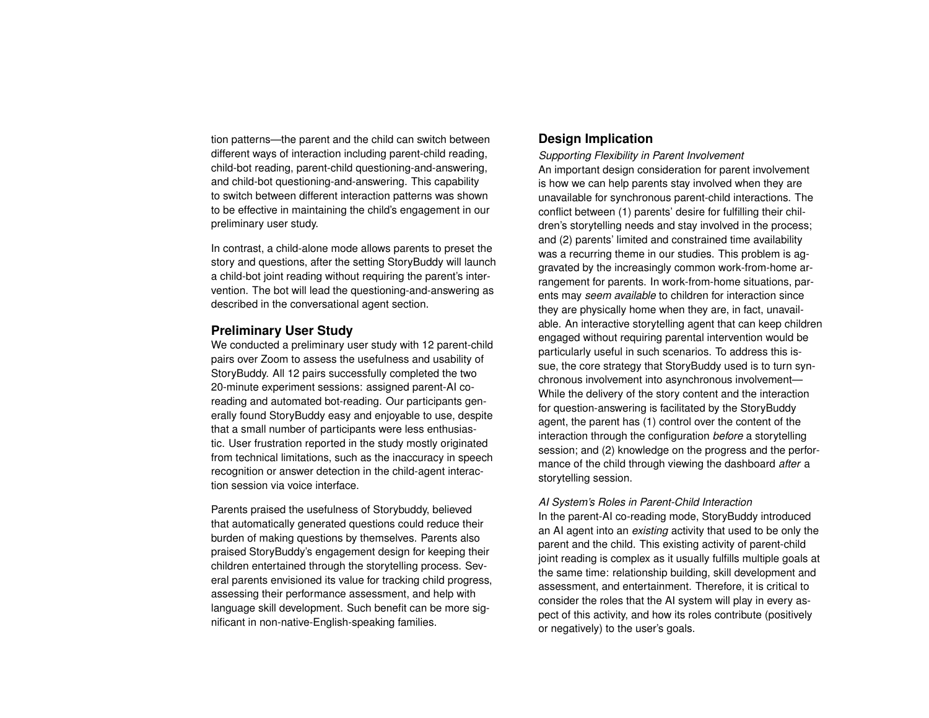tion patterns—the parent and the child can switch between different ways of interaction including parent-child reading, child-bot reading, parent-child questioning-and-answering, and child-bot questioning-and-answering. This capability to switch between different interaction patterns was shown to be effective in maintaining the child's engagement in our preliminary user study.

In contrast, a child-alone mode allows parents to preset the story and questions, after the setting StoryBuddy will launch a child-bot joint reading without requiring the parent's intervention. The bot will lead the questioning-and-answering as described in the conversational agent section.

# **Preliminary User Study**

We conducted a preliminary user study with 12 parent-child pairs over Zoom to assess the usefulness and usability of StoryBuddy. All 12 pairs successfully completed the two 20-minute experiment sessions: assigned parent-AI coreading and automated bot-reading. Our participants generally found StoryBuddy easy and enjoyable to use, despite that a small number of participants were less enthusiastic. User frustration reported in the study mostly originated from technical limitations, such as the inaccuracy in speech recognition or answer detection in the child-agent interaction session via voice interface.

Parents praised the usefulness of Storybuddy, believed that automatically generated questions could reduce their burden of making questions by themselves. Parents also praised StoryBuddy's engagement design for keeping their children entertained through the storytelling process. Several parents envisioned its value for tracking child progress, assessing their performance assessment, and help with language skill development. Such benefit can be more significant in non-native-English-speaking families.

# **Design Implication**

*Supporting Flexibility in Parent Involvement* An important design consideration for parent involvement is how we can help parents stay involved when they are unavailable for synchronous parent-child interactions. The conflict between (1) parents' desire for fulfilling their children's storytelling needs and stay involved in the process; and (2) parents' limited and constrained time availability was a recurring theme in our studies. This problem is aggravated by the increasingly common work-from-home arrangement for parents. In work-from-home situations, parents may *seem available* to children for interaction since they are physically home when they are, in fact, unavailable. An interactive storytelling agent that can keep children engaged without requiring parental intervention would be particularly useful in such scenarios. To address this issue, the core strategy that StoryBuddy used is to turn synchronous involvement into asynchronous involvement— While the delivery of the story content and the interaction for question-answering is facilitated by the StoryBuddy agent, the parent has (1) control over the content of the interaction through the configuration *before* a storytelling session; and (2) knowledge on the progress and the performance of the child through viewing the dashboard *after* a storytelling session.

## *AI System's Roles in Parent-Child Interaction*

In the parent-AI co-reading mode, StoryBuddy introduced an AI agent into an *existing* activity that used to be only the parent and the child. This existing activity of parent-child joint reading is complex as it usually fulfills multiple goals at the same time: relationship building, skill development and assessment, and entertainment. Therefore, it is critical to consider the roles that the AI system will play in every aspect of this activity, and how its roles contribute (positively or negatively) to the user's goals.